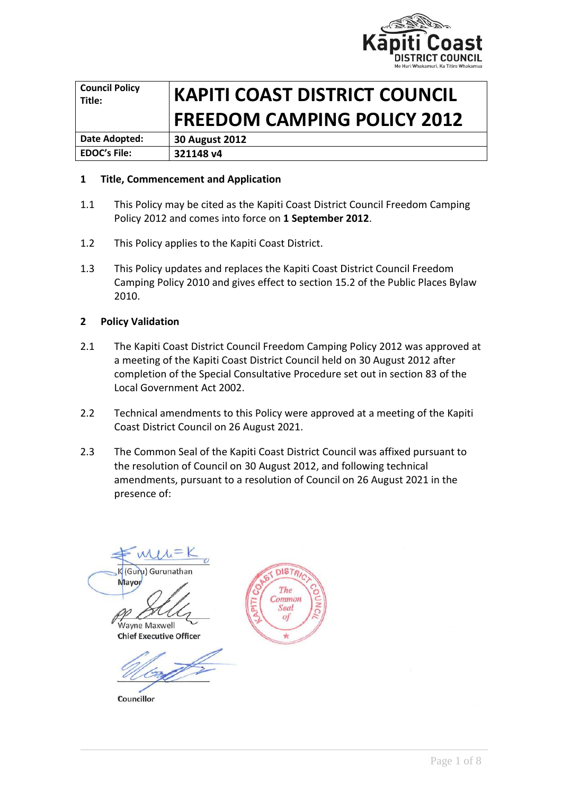

| <b>Council Policy</b><br>Title: | <b>KAPITI COAST DISTRICT COUNCIL</b> |  |
|---------------------------------|--------------------------------------|--|
|                                 | <b>FREEDOM CAMPING POLICY 2012</b>   |  |
| Date Adopted:                   | <b>30 August 2012</b>                |  |
| <b>EDOC's File:</b>             | 321148 v4                            |  |

### **1 Title, Commencement and Application**

- 1.1 This Policy may be cited as the Kapiti Coast District Council Freedom Camping Policy 2012 and comes into force on **1 September 2012**.
- 1.2 This Policy applies to the Kapiti Coast District.
- 1.3 This Policy updates and replaces the Kapiti Coast District Council Freedom Camping Policy 2010 and gives effect to section 15.2 of the Public Places Bylaw 2010.

### **2 Policy Validation**

- 2.1 The Kapiti Coast District Council Freedom Camping Policy 2012 was approved at a meeting of the Kapiti Coast District Council held on 30 August 2012 after completion of the Special Consultative Procedure set out in section 83 of the Local Government Act 2002.
- 2.2 Technical amendments to this Policy were approved at a meeting of the Kapiti Coast District Council on 26 August 2021.
- 2.3 The Common Seal of the Kapiti Coast District Council was affixed pursuant to the resolution of Council on 30 August 2012, and following technical amendments, pursuant to a resolution of Council on 26 August 2021 in the presence of:

K (Guru) Gurunathan Mayor

.<br>Wayne Maxwell **Chief Executive Officer** 

Councillor

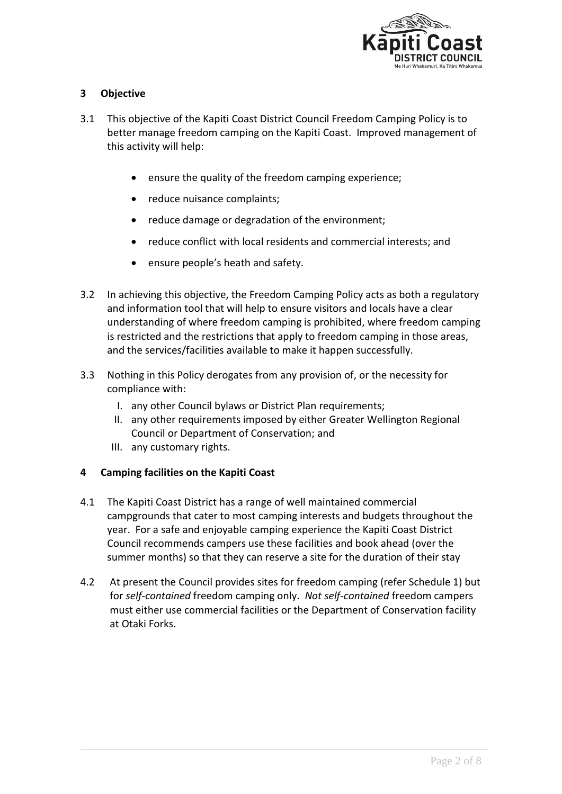

## **3 Objective**

- 3.1 This objective of the Kapiti Coast District Council Freedom Camping Policy is to better manage freedom camping on the Kapiti Coast. Improved management of this activity will help:
	- ensure the quality of the freedom camping experience;
	- reduce nuisance complaints;
	- reduce damage or degradation of the environment;
	- reduce conflict with local residents and commercial interests; and
	- ensure people's heath and safety.
- 3.2 In achieving this objective, the Freedom Camping Policy acts as both a regulatory and information tool that will help to ensure visitors and locals have a clear understanding of where freedom camping is prohibited, where freedom camping is restricted and the restrictions that apply to freedom camping in those areas, and the services/facilities available to make it happen successfully.
- 3.3 Nothing in this Policy derogates from any provision of, or the necessity for compliance with:
	- I. any other Council bylaws or District Plan requirements;
	- II. any other requirements imposed by either Greater Wellington Regional Council or Department of Conservation; and
	- III. any customary rights.

## **4 Camping facilities on the Kapiti Coast**

- 4.1 The Kapiti Coast District has a range of well maintained commercial campgrounds that cater to most camping interests and budgets throughout the year. For a safe and enjoyable camping experience the Kapiti Coast District Council recommends campers use these facilities and book ahead (over the summer months) so that they can reserve a site for the duration of their stay
- 4.2 At present the Council provides sites for freedom camping (refer Schedule 1) but for *self-contained* freedom camping only. *Not self-contained* freedom campers must either use commercial facilities or the Department of Conservation facility at Otaki Forks.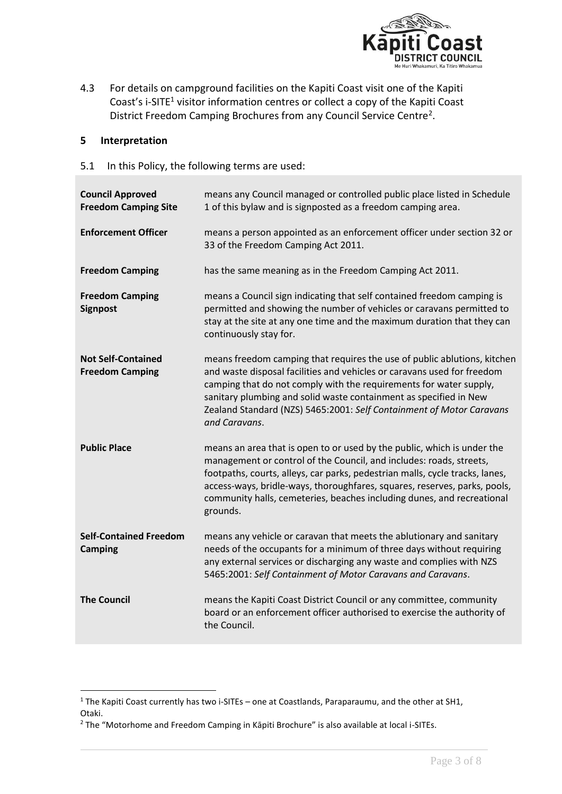

4.3 For details on campground facilities on the Kapiti Coast visit one of the Kapiti Coast's i-SITE<sup>1</sup> visitor information centres or collect a copy of the Kapiti Coast District Freedom Camping Brochures from any Council Service Centre<sup>2</sup>.

#### **5 Interpretation**

5.1 In this Policy, the following terms are used:

| <b>Council Approved</b><br><b>Freedom Camping Site</b> | means any Council managed or controlled public place listed in Schedule<br>1 of this bylaw and is signposted as a freedom camping area.                                                                                                                                                                                                                                                           |
|--------------------------------------------------------|---------------------------------------------------------------------------------------------------------------------------------------------------------------------------------------------------------------------------------------------------------------------------------------------------------------------------------------------------------------------------------------------------|
| <b>Enforcement Officer</b>                             | means a person appointed as an enforcement officer under section 32 or<br>33 of the Freedom Camping Act 2011.                                                                                                                                                                                                                                                                                     |
| <b>Freedom Camping</b>                                 | has the same meaning as in the Freedom Camping Act 2011.                                                                                                                                                                                                                                                                                                                                          |
| <b>Freedom Camping</b><br><b>Signpost</b>              | means a Council sign indicating that self contained freedom camping is<br>permitted and showing the number of vehicles or caravans permitted to<br>stay at the site at any one time and the maximum duration that they can<br>continuously stay for.                                                                                                                                              |
| <b>Not Self-Contained</b><br><b>Freedom Camping</b>    | means freedom camping that requires the use of public ablutions, kitchen<br>and waste disposal facilities and vehicles or caravans used for freedom<br>camping that do not comply with the requirements for water supply,<br>sanitary plumbing and solid waste containment as specified in New<br>Zealand Standard (NZS) 5465:2001: Self Containment of Motor Caravans<br>and Caravans.           |
| <b>Public Place</b>                                    | means an area that is open to or used by the public, which is under the<br>management or control of the Council, and includes: roads, streets,<br>footpaths, courts, alleys, car parks, pedestrian malls, cycle tracks, lanes,<br>access-ways, bridle-ways, thoroughfares, squares, reserves, parks, pools,<br>community halls, cemeteries, beaches including dunes, and recreational<br>grounds. |
| <b>Self-Contained Freedom</b><br><b>Camping</b>        | means any vehicle or caravan that meets the ablutionary and sanitary<br>needs of the occupants for a minimum of three days without requiring<br>any external services or discharging any waste and complies with NZS<br>5465:2001: Self Containment of Motor Caravans and Caravans.                                                                                                               |
| <b>The Council</b>                                     | means the Kapiti Coast District Council or any committee, community<br>board or an enforcement officer authorised to exercise the authority of<br>the Council.                                                                                                                                                                                                                                    |

<sup>&</sup>lt;sup>1</sup> The Kapiti Coast currently has two i-SITEs – one at Coastlands, Paraparaumu, and the other at SH1, Otaki.

<sup>&</sup>lt;sup>2</sup> The "Motorhome and Freedom Camping in Kāpiti Brochure" is also available at local i-SITEs.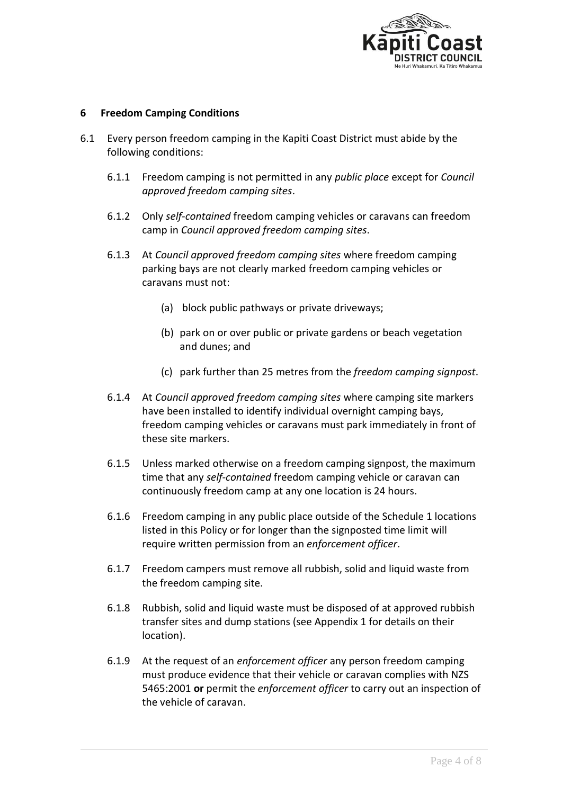

### **6 Freedom Camping Conditions**

- 6.1 Every person freedom camping in the Kapiti Coast District must abide by the following conditions:
	- 6.1.1 Freedom camping is not permitted in any *public place* except for *Council approved freedom camping sites*.
	- 6.1.2 Only *self-contained* freedom camping vehicles or caravans can freedom camp in *Council approved freedom camping sites*.
	- 6.1.3 At *Council approved freedom camping sites* where freedom camping parking bays are not clearly marked freedom camping vehicles or caravans must not:
		- (a) block public pathways or private driveways;
		- (b) park on or over public or private gardens or beach vegetation and dunes; and
		- (c) park further than 25 metres from the *freedom camping signpost*.
	- 6.1.4 At *Council approved freedom camping sites* where camping site markers have been installed to identify individual overnight camping bays, freedom camping vehicles or caravans must park immediately in front of these site markers.
	- 6.1.5 Unless marked otherwise on a freedom camping signpost, the maximum time that any *self-contained* freedom camping vehicle or caravan can continuously freedom camp at any one location is 24 hours.
	- 6.1.6 Freedom camping in any public place outside of the Schedule 1 locations listed in this Policy or for longer than the signposted time limit will require written permission from an *enforcement officer*.
	- 6.1.7 Freedom campers must remove all rubbish, solid and liquid waste from the freedom camping site.
	- 6.1.8 Rubbish, solid and liquid waste must be disposed of at approved rubbish transfer sites and dump stations (see Appendix 1 for details on their location).
	- 6.1.9 At the request of an *enforcement officer* any person freedom camping must produce evidence that their vehicle or caravan complies with NZS 5465:2001 **or** permit the *enforcement officer* to carry out an inspection of the vehicle of caravan.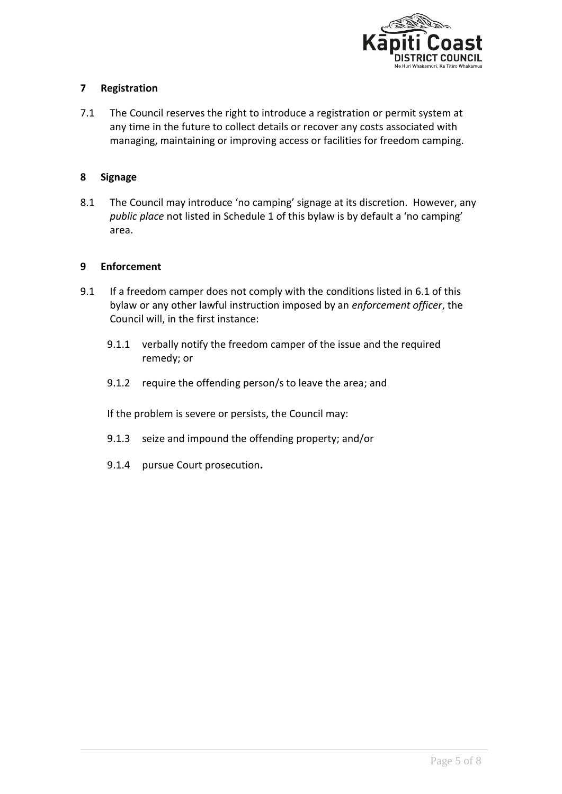

## **7 Registration**

7.1 The Council reserves the right to introduce a registration or permit system at any time in the future to collect details or recover any costs associated with managing, maintaining or improving access or facilities for freedom camping.

## **8 Signage**

8.1 The Council may introduce 'no camping' signage at its discretion. However, any *public place* not listed in Schedule 1 of this bylaw is by default a 'no camping' area.

## **9 Enforcement**

- 9.1 If a freedom camper does not comply with the conditions listed in 6.1 of this bylaw or any other lawful instruction imposed by an *enforcement officer*, the Council will, in the first instance:
	- 9.1.1 verbally notify the freedom camper of the issue and the required remedy; or
	- 9.1.2 require the offending person/s to leave the area; and

If the problem is severe or persists, the Council may:

- 9.1.3 seize and impound the offending property; and/or
- 9.1.4 pursue Court prosecution**.**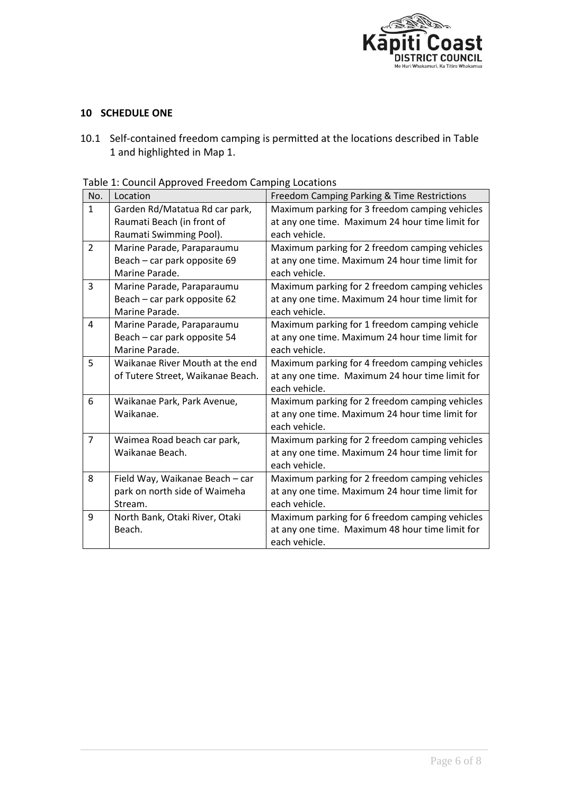

## **10 SCHEDULE ONE**

10.1 Self-contained freedom camping is permitted at the locations described in Table 1 and highlighted in Map 1.

| No.            | Location                          | Freedom Camping Parking & Time Restrictions     |
|----------------|-----------------------------------|-------------------------------------------------|
| $\mathbf{1}$   | Garden Rd/Matatua Rd car park,    | Maximum parking for 3 freedom camping vehicles  |
|                | Raumati Beach (in front of        | at any one time. Maximum 24 hour time limit for |
|                | Raumati Swimming Pool).           | each vehicle.                                   |
| $\overline{2}$ | Marine Parade, Paraparaumu        | Maximum parking for 2 freedom camping vehicles  |
|                | Beach - car park opposite 69      | at any one time. Maximum 24 hour time limit for |
|                | Marine Parade.                    | each vehicle.                                   |
| 3              | Marine Parade, Paraparaumu        | Maximum parking for 2 freedom camping vehicles  |
|                | Beach - car park opposite 62      | at any one time. Maximum 24 hour time limit for |
|                | Marine Parade.                    | each vehicle.                                   |
| 4              | Marine Parade, Paraparaumu        | Maximum parking for 1 freedom camping vehicle   |
|                | Beach - car park opposite 54      | at any one time. Maximum 24 hour time limit for |
|                | Marine Parade.                    | each vehicle.                                   |
| 5              | Waikanae River Mouth at the end   | Maximum parking for 4 freedom camping vehicles  |
|                | of Tutere Street, Waikanae Beach. | at any one time. Maximum 24 hour time limit for |
|                |                                   | each vehicle.                                   |
| 6              | Waikanae Park, Park Avenue,       | Maximum parking for 2 freedom camping vehicles  |
|                | Waikanae.                         | at any one time. Maximum 24 hour time limit for |
|                |                                   | each vehicle.                                   |
| $\overline{7}$ | Waimea Road beach car park,       | Maximum parking for 2 freedom camping vehicles  |
|                | Waikanae Beach.                   | at any one time. Maximum 24 hour time limit for |
|                |                                   | each vehicle.                                   |
| 8              | Field Way, Waikanae Beach - car   | Maximum parking for 2 freedom camping vehicles  |
|                | park on north side of Waimeha     | at any one time. Maximum 24 hour time limit for |
|                | Stream.                           | each vehicle.                                   |
| 9              | North Bank, Otaki River, Otaki    | Maximum parking for 6 freedom camping vehicles  |
|                | Beach.                            | at any one time. Maximum 48 hour time limit for |
|                |                                   | each vehicle.                                   |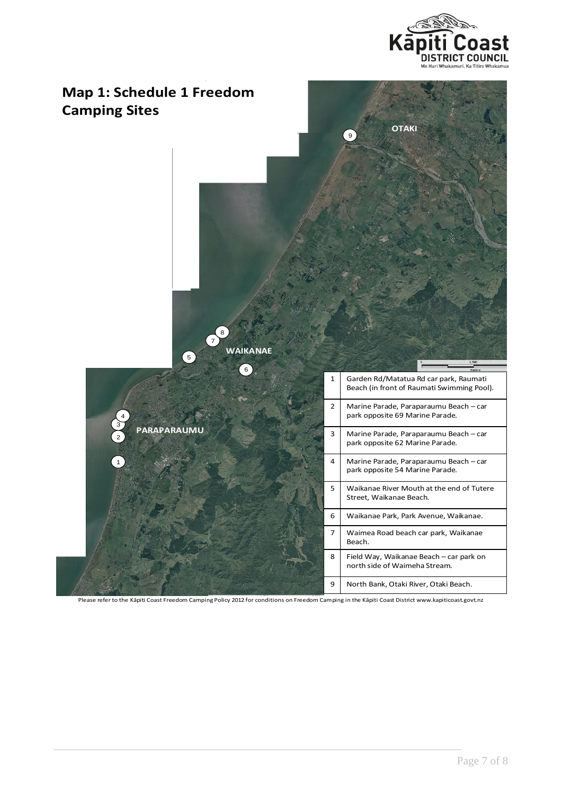



Please refer to the Kāpiti Coast Freedom Camping Policy 2012 for conditions on Freedom Camping in the Kāpiti Coast District www.kapiticoast.govt.nz